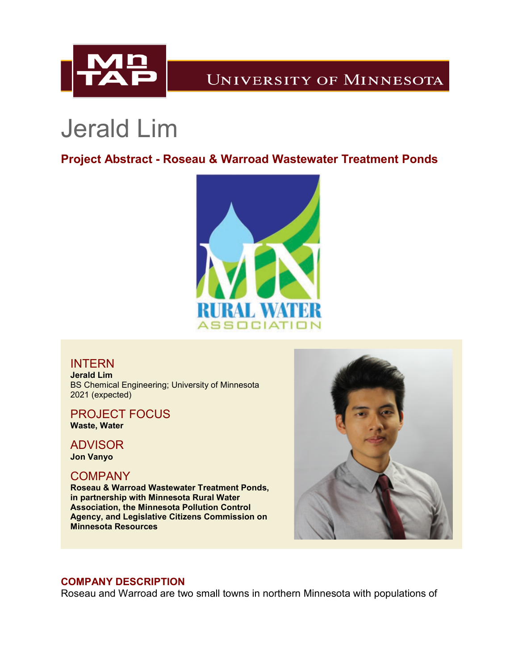

# **UNIVERSITY OF MINNESOTA**

# Jerald Lim

# **Project Abstract - Roseau & Warroad Wastewater Treatment Ponds**



## INTERN

**Jerald Lim** BS Chemical Engineering; University of Minnesota 2021 (expected)

## PROJECT FOCUS

**Waste, Water**

# ADVISOR

**Jon Vanyo**

## **COMPANY**

**Roseau & Warroad Wastewater Treatment Ponds, in partnership with Minnesota Rural Water Association, the Minnesota Pollution Control Agency, and Legislative Citizens Commission on Minnesota Resources**



### **COMPANY DESCRIPTION**

Roseau and Warroad are two small towns in northern Minnesota with populations of